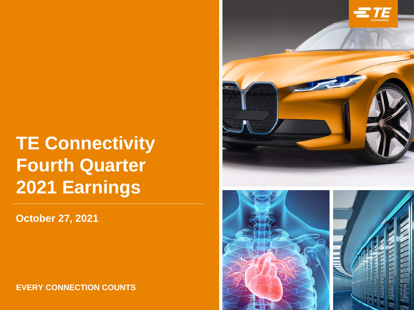# **TE Connectivity Fourth Quarter 2021 Earnings**

**October 27, 2021**

**EVERY CONNECTION COUNTS**



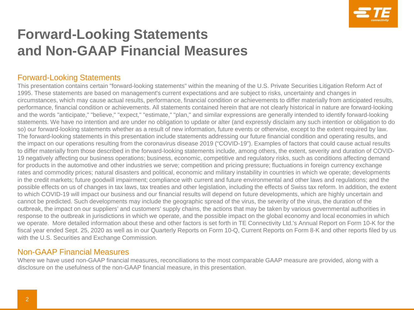

# **Forward-Looking Statements and Non-GAAP Financial Measures**

#### Forward-Looking Statements

This presentation contains certain "forward-looking statements" within the meaning of the U.S. Private Securities Litigation Reform Act of 1995. These statements are based on management's current expectations and are subject to risks, uncertainty and changes in circumstances, which may cause actual results, performance, financial condition or achievements to differ materially from anticipated results, performance, financial condition or achievements. All statements contained herein that are not clearly historical in nature are forward-looking and the words "anticipate," "believe," "expect," "estimate," "plan," and similar expressions are generally intended to identify forward-looking statements. We have no intention and are under no obligation to update or alter (and expressly disclaim any such intention or obligation to do so) our forward-looking statements whether as a result of new information, future events or otherwise, except to the extent required by law. The forward-looking statements in this presentation include statements addressing our future financial condition and operating results, and the impact on our operations resulting from the coronavirus disease 2019 ("COVID-19"). Examples of factors that could cause actual results to differ materially from those described in the forward-looking statements include, among others, the extent, severity and duration of COVID-19 negatively affecting our business operations; business, economic, competitive and regulatory risks, such as conditions affecting demand for products in the automotive and other industries we serve; competition and pricing pressure; fluctuations in foreign currency exchange rates and commodity prices; natural disasters and political, economic and military instability in countries in which we operate; developments in the credit markets; future goodwill impairment; compliance with current and future environmental and other laws and regulations; and the possible effects on us of changes in tax laws, tax treaties and other legislation, including the effects of Swiss tax reform. In addition, the extent to which COVID-19 will impact our business and our financial results will depend on future developments, which are highly uncertain and cannot be predicted. Such developments may include the geographic spread of the virus, the severity of the virus, the duration of the outbreak, the impact on our suppliers' and customers' supply chains, the actions that may be taken by various governmental authorities in response to the outbreak in jurisdictions in which we operate, and the possible impact on the global economy and local economies in which we operate. More detailed information about these and other factors is set forth in TE Connectivity Ltd.'s Annual Report on Form 10-K for the fiscal year ended Sept. 25, 2020 as well as in our Quarterly Reports on Form 10-Q, Current Reports on Form 8-K and other reports filed by us with the U.S. Securities and Exchange Commission.

#### Non-GAAP Financial Measures

Where we have used non-GAAP financial measures, reconciliations to the most comparable GAAP measure are provided, along with a disclosure on the usefulness of the non-GAAP financial measure, in this presentation.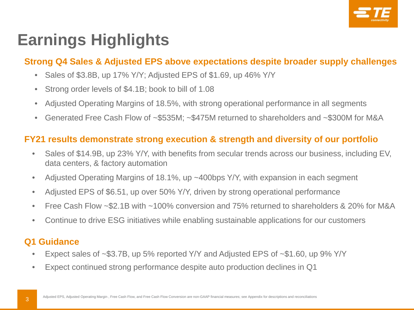

# **Earnings Highlights**

#### **Strong Q4 Sales & Adjusted EPS above expectations despite broader supply challenges**

- Sales of \$3.8B, up 17% Y/Y; Adjusted EPS of \$1.69, up 46% Y/Y
- Strong order levels of \$4.1B; book to bill of 1.08
- Adjusted Operating Margins of 18.5%, with strong operational performance in all segments
- Generated Free Cash Flow of ~\$535M; ~\$475M returned to shareholders and ~\$300M for M&A

#### **FY21 results demonstrate strong execution & strength and diversity of our portfolio**

- Sales of \$14.9B, up 23% Y/Y, with benefits from secular trends across our business, including EV, data centers, & factory automation
- Adjusted Operating Margins of 18.1%, up ~400bps Y/Y, with expansion in each segment
- Adjusted EPS of \$6.51, up over 50% Y/Y, driven by strong operational performance
- Free Cash Flow ~\$2.1B with ~100% conversion and 75% returned to shareholders & 20% for M&A
- Continue to drive ESG initiatives while enabling sustainable applications for our customers

#### **Q1 Guidance**

- Expect sales of ~\$3.7B, up 5% reported Y/Y and Adjusted EPS of ~\$1.60, up 9% Y/Y
- Expect continued strong performance despite auto production declines in Q1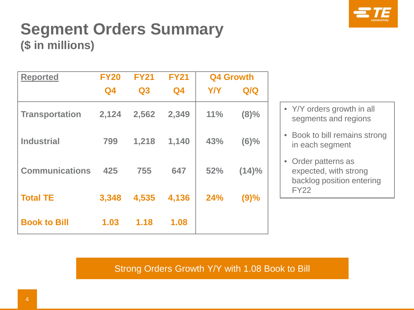

# **Segment Orders Summary (\$ in millions)**

| <b>Reported</b>       | <b>FY20</b>    | <b>FY21</b> | <b>FY21</b>    |            | <b>Q4 Growth</b> |
|-----------------------|----------------|-------------|----------------|------------|------------------|
|                       | Q <sub>4</sub> | Q3          | Q <sub>4</sub> | <b>Y/Y</b> | Q/Q              |
| <b>Transportation</b> | 2,124          | 2,562       | 2,349          | 11%        | (8)%             |
| <b>Industrial</b>     | 799            | 1,218       | 1,140          | 43%        | (6)%             |
| <b>Communications</b> | 425            | 755         | 647            | 52%        | (14)%            |
| <b>Total TE</b>       | 3,348          | 4,535       | 4,136          | 24%        | (9)%             |
| <b>Book to Bill</b>   | 1.03           | 1.18        | 1.08           |            |                  |

- Y/Y orders growth in all segments and regions
- Book to bill remains strong in each segment
- Order patterns as expected, with strong backlog position entering FY22

Strong Orders Growth Y/Y with 1.08 Book to Bill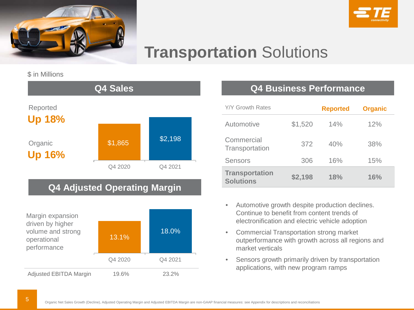



# **Transportation** Solutions

\$ in Millions



#### **Q4 Adjusted Operating Margin**



#### **Q4 Sales Q4 Business Performance**

| Y/Y Growth Rates                          |         | <b>Reported</b> | <b>Organic</b> |
|-------------------------------------------|---------|-----------------|----------------|
| Automotive                                | \$1,520 | 14%             | 12%            |
| Commercial<br>Transportation              | 372     | 40%             | 38%            |
| Sensors                                   | 306     | 16%             | 15%            |
| <b>Transportation</b><br><b>Solutions</b> | \$2,198 | 18%             | 16%            |

- Automotive growth despite production declines. Continue to benefit from content trends of electronification and electric vehicle adoption
- Commercial Transportation strong market outperformance with growth across all regions and market verticals
- Sensors growth primarily driven by transportation applications, with new program ramps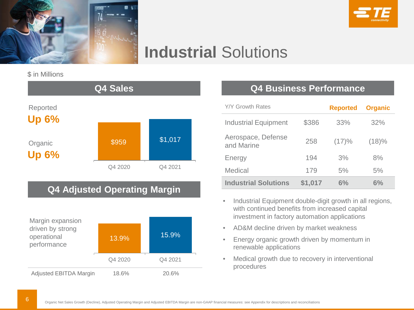



# **Industrial** Solutions

\$ in Millions



### **Q4 Adjusted Operating Margin**



#### **Q4 Sales Q4 Business Performance**

| <b>Y/Y Growth Rates</b>          |         | <b>Reported</b> | <b>Organic</b> |
|----------------------------------|---------|-----------------|----------------|
| <b>Industrial Equipment</b>      | \$386   | 33%             | 32%            |
| Aerospace, Defense<br>and Marine | 258     | (17)%           | (18)%          |
| Energy                           | 194     | 3%              | 8%             |
| Medical                          | 179     | 5%              | 5%             |
| <b>Industrial Solutions</b>      | \$1,017 | $6\%$           | $6\%$          |

- Industrial Equipment double-digit growth in all regions, with continued benefits from increased capital investment in factory automation applications
- AD&M decline driven by market weakness
- Energy organic growth driven by momentum in renewable applications
- Medical growth due to recovery in interventional procedures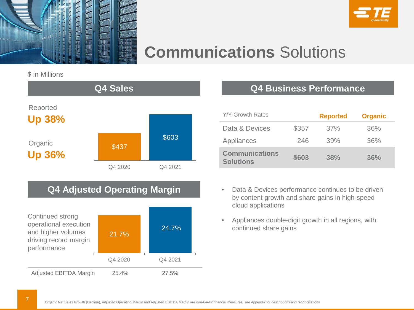



# **Communications** Solutions

#### \$ in Millions



### **Q4 Adjusted Operating Margin**



#### **Q4 Business Performance**

| <b>Y/Y Growth Rates</b>                   |       | <b>Reported</b> | <b>Organic</b> |
|-------------------------------------------|-------|-----------------|----------------|
| Data & Devices                            | \$357 | 37%             | 36%            |
| Appliances                                | 246   | 39%             | 36%            |
| <b>Communications</b><br><b>Solutions</b> | \$603 | 38%             | 36%            |

- Data & Devices performance continues to be driven by content growth and share gains in high-speed cloud applications
- Appliances double-digit growth in all regions, with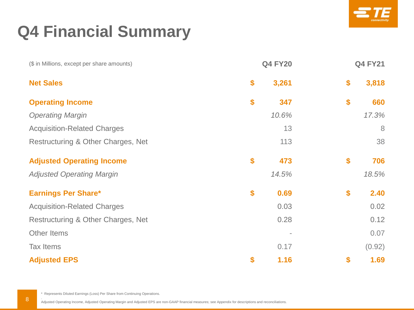

# **Q4 Financial Summary**

| (\$ in Millions, except per share amounts) | <b>Q4 FY20</b> | <b>Q4 FY21</b> |        |  |
|--------------------------------------------|----------------|----------------|--------|--|
| <b>Net Sales</b>                           | \$<br>3,261    | \$             | 3,818  |  |
| <b>Operating Income</b>                    | \$<br>347      | \$             | 660    |  |
| <b>Operating Margin</b>                    | 10.6%          |                | 17.3%  |  |
| <b>Acquisition-Related Charges</b>         | 13             |                | 8      |  |
| Restructuring & Other Charges, Net         | 113            |                | 38     |  |
| <b>Adjusted Operating Income</b>           | \$<br>473      | \$             | 706    |  |
| <b>Adjusted Operating Margin</b>           | 14.5%          |                | 18.5%  |  |
| <b>Earnings Per Share*</b>                 | \$<br>0.69     | \$             | 2.40   |  |
| <b>Acquisition-Related Charges</b>         | 0.03           |                | 0.02   |  |
| Restructuring & Other Charges, Net         | 0.28           |                | 0.12   |  |
| Other Items                                |                |                | 0.07   |  |
| <b>Tax Items</b>                           | 0.17           |                | (0.92) |  |
| <b>Adjusted EPS</b>                        | \$<br>1.16     | \$             | 1.69   |  |

\* Represents Diluted Earnings (Loss) Per Share from Continuing Operations.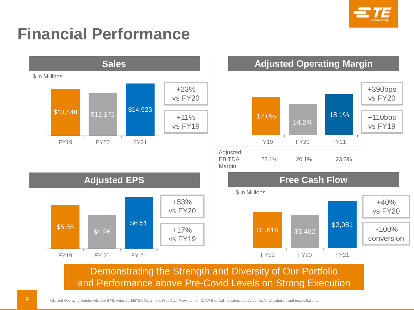

# **Financial Performance**

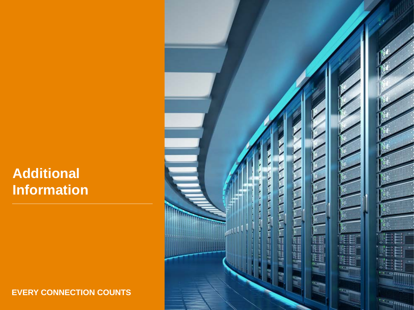# **Additional Information**

**EVERY CONNECTION COUNTS**

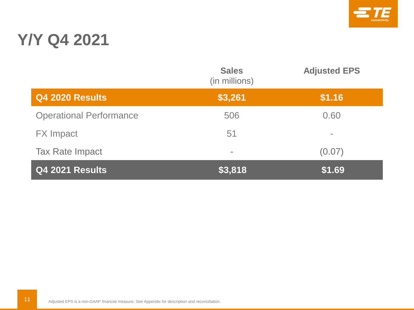

# **Y/Y Q4 2021**

|                                | <b>Sales</b><br>(in millions) | <b>Adjusted EPS</b> |
|--------------------------------|-------------------------------|---------------------|
| <b>Q4 2020 Results</b>         | \$3,261                       | \$1.16              |
| <b>Operational Performance</b> | 506                           | 0.60                |
| <b>FX</b> Impact               | 51                            | $\equiv$            |
| <b>Tax Rate Impact</b>         | $\equiv$                      | (0.07)              |
| <b>Q4 2021 Results</b>         | \$3,818                       | \$1.69              |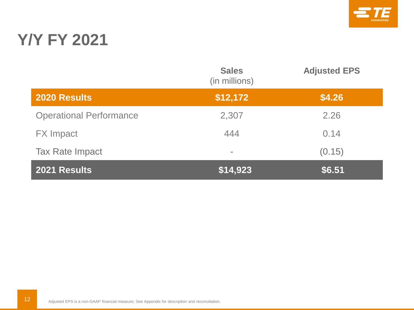

# **Y/Y FY 2021**

|                                | <b>Sales</b><br>(in millions) | <b>Adjusted EPS</b> |
|--------------------------------|-------------------------------|---------------------|
| <b>2020 Results</b>            | \$12,172                      | \$4.26              |
| <b>Operational Performance</b> | 2,307                         | 2.26                |
| <b>FX</b> Impact               | 444                           | 0.14                |
| <b>Tax Rate Impact</b>         | $\equiv$                      | (0.15)              |
| 2021 Results                   | \$14,923                      | \$6.51              |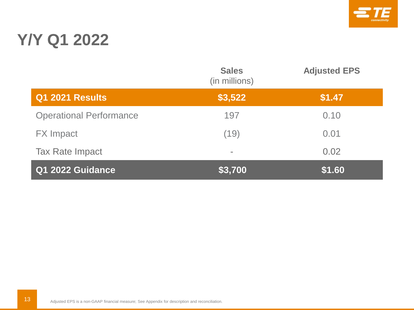

# **Y/Y Q1 2022**

|                                | <b>Sales</b><br>(in millions) | <b>Adjusted EPS</b> |
|--------------------------------|-------------------------------|---------------------|
| <b>Q1 2021 Results</b>         | \$3,522                       | \$1.47              |
| <b>Operational Performance</b> | 197                           | 0.10                |
| <b>FX</b> Impact               | (19)                          | 0.01                |
| <b>Tax Rate Impact</b>         | $\equiv$                      | 0.02                |
| Q1 2022 Guidance               | \$3,700                       | \$1.60              |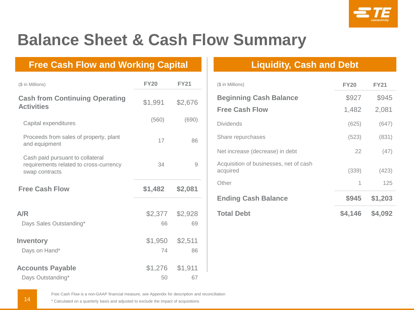

# **Balance Sheet & Cash Flow Summary**

#### **Free Cash Flow and Working Capital Liquidity, Cash and Debt**

| (\$ in Millions)                                                                             | <b>FY20</b> | <b>FY21</b> | (\$ in Millions)                                   | <b>FY20</b> | <b>FY21</b> |
|----------------------------------------------------------------------------------------------|-------------|-------------|----------------------------------------------------|-------------|-------------|
| <b>Cash from Continuing Operating</b>                                                        | \$1,991     | \$2,676     | <b>Beginning Cash Balance</b>                      | \$927       | \$945       |
| <b>Activities</b>                                                                            |             |             | <b>Free Cash Flow</b>                              | 1,482       | 2,081       |
| Capital expenditures                                                                         | (560)       | (690)       | <b>Dividends</b>                                   | (625)       | (647)       |
| Proceeds from sales of property, plant<br>and equipment                                      | 17          | 86          | Share repurchases                                  | (523)       | (831)       |
|                                                                                              |             |             | Net increase (decrease) in debt                    | 22          | (47)        |
| Cash paid pursuant to collateral<br>requirements related to cross-currency<br>swap contracts | 34          | 9           | Acquisition of businesses, net of cash<br>acquired | (339)       | (423)       |
| <b>Free Cash Flow</b>                                                                        | \$1,482     | \$2,081     | Other                                              |             | 125         |
|                                                                                              |             |             | <b>Ending Cash Balance</b>                         | \$945       | \$1,203     |
| A/R                                                                                          | \$2,377     | \$2,928     | <b>Total Debt</b>                                  | \$4,146     | \$4,092     |
| Days Sales Outstanding*                                                                      | 66          | 69          |                                                    |             |             |
| <b>Inventory</b>                                                                             | \$1,950     | \$2,511     |                                                    |             |             |
| Days on Hand*                                                                                | 74          | 86          |                                                    |             |             |
| <b>Accounts Payable</b>                                                                      | \$1,276     | \$1,911     |                                                    |             |             |
| Days Outstanding*                                                                            | 50          | 67          |                                                    |             |             |

| (\$ in Millions)                                   | <b>FY20</b> | <b>FY21</b> |
|----------------------------------------------------|-------------|-------------|
| <b>Beginning Cash Balance</b>                      | \$927       | \$945       |
| <b>Free Cash Flow</b>                              | 1,482       | 2,081       |
| <b>Dividends</b>                                   | (625)       | (647)       |
| Share repurchases                                  | (523)       | (831)       |
| Net increase (decrease) in debt                    | 22          | (47)        |
| Acquisition of businesses, net of cash<br>acquired | (339)       | (423)       |
| Other                                              |             | 125         |
| <b>Ending Cash Balance</b>                         | \$945       | \$1,203     |
| <b>Total Debt</b>                                  | \$4,146     | \$4,092     |

Free Cash Flow is a non-GAAP financial measure, see Appendix for description and reconciliation

\* Calculated on a quarterly basis and adjusted to exclude the impact of acquisitions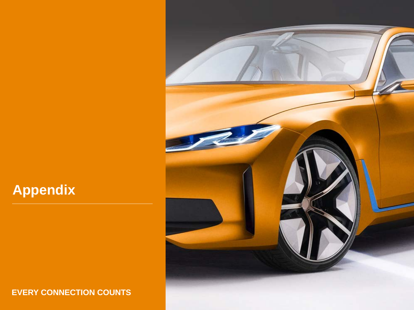#### **EVERY CONNECTION COUNTS**

**Appendix**

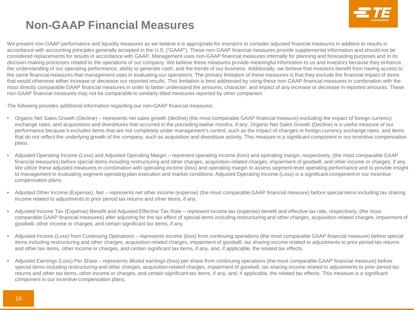

## **Non-GAAP Financial Measures**

We present non-GAAP performance and liquidity measures as we believe it is appropriate for investors to consider adjusted financial measures in addition to results in accordance with accounting principles generally accepted in the U.S. ("GAAP"). These non-GAAP financial measures provide supplemental information and should not be considered replacements for results in accordance with GAAP. Management uses non-GAAP financial measures internally for planning and forecasting purposes and in its decision-making processes related to the operations of our company. We believe these measures provide meaningful information to us and investors because they enhance the understanding of our operating performance, ability to generate cash, and the trends of our business. Additionally, we believe that investors benefit from having access to the same financial measures that management uses in evaluating our operations. The primary limitation of these measures is that they exclude the financial impact of items that would otherwise either increase or decrease our reported results. This limitation is best addressed by using these non-GAAP financial measures in combination with the most directly comparable GAAP financial measures in order to better understand the amounts, character, and impact of any increase or decrease in reported amounts. These non-GAAP financial measures may not be comparable to similarly-titled measures reported by other companies.

The following provides additional information regarding our non-GAAP financial measures:

- Organic Net Sales Growth (Decline) represents net sales growth (decline) (the most comparable GAAP financial measure) excluding the impact of foreign currency exchange rates, and acquisitions and divestitures that occurred in the preceding twelve months, if any. Organic Net Sales Growth (Decline) is a useful measure of our performance because it excludes items that are not completely under management's control, such as the impact of changes in foreign currency exchange rates, and items that do not reflect the underlying growth of the company, such as acquisition and divestiture activity. This measure is a significant component in our incentive compensation plans.
- Adjusted Operating Income (Loss) and Adjusted Operating Margin represent operating income (loss) and operating margin, respectively, (the most comparable GAAP financial measures) before special items including restructuring and other charges, acquisition-related charges, impairment of goodwill, and other income or charges, if any. We utilize these adjusted measures in combination with operating income (loss) and operating margin to assess segment level operating performance and to provide insight to management in evaluating segment operating plan execution and market conditions. Adjusted Operating Income (Loss) is a significant component in our incentive compensation plans.
- Adjusted Other Income (Expense), Net represents net other income (expense) (the most comparable GAAP financial measure) before special items including tax sharing income related to adjustments to prior period tax returns and other items, if any.
- Adjusted Income Tax (Expense) Benefit and Adjusted Effective Tax Rate represent income tax (expense) benefit and effective tax rate, respectively, (the most comparable GAAP financial measures) after adjusting for the tax effect of special items including restructuring and other charges, acquisition-related charges, impairment of goodwill, other income or charges, and certain significant tax items, if any.
- Adjusted Income (Loss) from Continuing Operations represents income (loss) from continuing operations (the most comparable GAAP financial measure) before special items including restructuring and other charges, acquisition-related charges, impairment of goodwill, tax sharing income related to adjustments to prior period tax returns and other tax items, other income or charges, and certain significant tax items, if any, and, if applicable, the related tax effects.
- Adjusted Earnings (Loss) Per Share represents diluted earnings (loss) per share from continuing operations (the most comparable GAAP financial measure) before special items including restructuring and other charges, acquisition-related charges, impairment of goodwill, tax sharing income related to adjustments to prior period tax returns and other tax items, other income or charges, and certain significant tax items, if any, and, if applicable, the related tax effects. This measure is a significant component in our incentive compensation plans.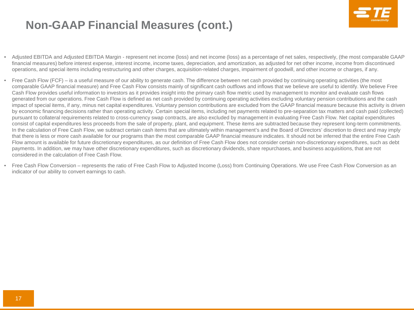

## **Non-GAAP Financial Measures (cont.)**

- Adjusted EBITDA and Adjusted EBITDA Margin represent net income (loss) and net income (loss) as a percentage of net sales, respectively, (the most comparable GAAP financial measures) before interest expense, interest income, income taxes, depreciation, and amortization, as adjusted for net other income, income from discontinued operations, and special items including restructuring and other charges, acquisition-related charges, impairment of goodwill, and other income or charges, if any.
- Free Cash Flow (FCF) is a useful measure of our ability to generate cash. The difference between net cash provided by continuing operating activities (the most comparable GAAP financial measure) and Free Cash Flow consists mainly of significant cash outflows and inflows that we believe are useful to identify. We believe Free Cash Flow provides useful information to investors as it provides insight into the primary cash flow metric used by management to monitor and evaluate cash flows generated from our operations. Free Cash Flow is defined as net cash provided by continuing operating activities excluding voluntary pension contributions and the cash impact of special items, if any, minus net capital expenditures. Voluntary pension contributions are excluded from the GAAP financial measure because this activity is driven by economic financing decisions rather than operating activity. Certain special items, including net payments related to pre-separation tax matters and cash paid (collected) pursuant to collateral requirements related to cross-currency swap contracts, are also excluded by management in evaluating Free Cash Flow. Net capital expenditures consist of capital expenditures less proceeds from the sale of property, plant, and equipment. These items are subtracted because they represent long-term commitments. In the calculation of Free Cash Flow, we subtract certain cash items that are ultimately within management's and the Board of Directors' discretion to direct and may imply that there is less or more cash available for our programs than the most comparable GAAP financial measure indicates. It should not be inferred that the entire Free Cash Flow amount is available for future discretionary expenditures, as our definition of Free Cash Flow does not consider certain non-discretionary expenditures, such as debt payments. In addition, we may have other discretionary expenditures, such as discretionary dividends, share repurchases, and business acquisitions, that are not considered in the calculation of Free Cash Flow.
- Free Cash Flow Conversion represents the ratio of Free Cash Flow to Adjusted Income (Loss) from Continuing Operations. We use Free Cash Flow Conversion as an indicator of our ability to convert earnings to cash.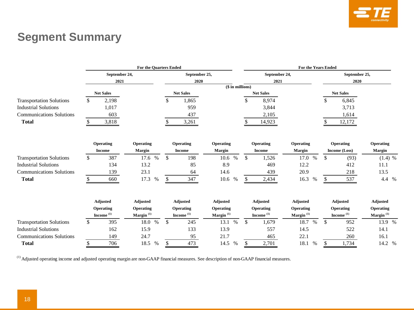

## **Segment Summary**

|                                 |               | <b>For the Quarters Ended</b> |                 |    |                  |                  |    | <b>For the Years Ended</b> |                         |               |                            |                 |  |  |
|---------------------------------|---------------|-------------------------------|-----------------|----|------------------|------------------|----|----------------------------|-------------------------|---------------|----------------------------|-----------------|--|--|
|                                 | September 24, |                               | September 25,   |    | September 24,    |                  |    | September 25,              |                         |               |                            |                 |  |  |
|                                 |               | 2021                          |                 |    | 2020             |                  |    | 2021                       |                         |               | 2020                       |                 |  |  |
|                                 |               |                               |                 |    |                  | (\$ in millions) |    |                            |                         |               |                            |                 |  |  |
|                                 |               | <b>Net Sales</b>              |                 |    | <b>Net Sales</b> |                  |    | <b>Net Sales</b>           |                         |               | <b>Net Sales</b>           |                 |  |  |
| <b>Transportation Solutions</b> | \$            | 2,198                         |                 | \$ | 1,865            |                  | \$ | 8,974                      |                         | \$            | 6,845                      |                 |  |  |
| <b>Industrial Solutions</b>     |               | 1,017                         |                 |    | 959              |                  |    | 3,844                      |                         |               | 3,713                      |                 |  |  |
| <b>Communications Solutions</b> |               | 603                           |                 |    | 437              |                  |    | 2,105                      |                         |               | 1,614                      |                 |  |  |
| <b>Total</b>                    | \$            | 3,818                         |                 |    | 3,261            |                  |    | 14,923                     |                         |               | 12,172                     |                 |  |  |
|                                 |               |                               |                 |    |                  |                  |    |                            |                         |               |                            |                 |  |  |
|                                 |               | Operating                     | Operating       |    | Operating        | Operating        |    | Operating                  | Operating               |               | Operating                  | Operating       |  |  |
|                                 |               | <b>Income</b>                 | Margin          |    | <b>Income</b>    | Margin           |    | <b>Income</b>              | Margin                  |               | Income (Loss)              | Margin          |  |  |
| <b>Transportation Solutions</b> | \$            | 387                           | 17.6 %          | \$ | 198              | 10.6<br>$\%$     | \$ | 1,526                      | 17.0<br>$\%$            | \$            | (93)                       | $(1.4)$ %       |  |  |
| <b>Industrial Solutions</b>     |               | 134                           | 13.2            |    | 85               | 8.9              |    | 469                        | 12.2                    |               | 412                        | 11.1            |  |  |
| <b>Communications Solutions</b> |               | 139                           | 23.1            |    | 64               | 14.6             |    | 439                        | 20.9                    |               | 218                        | 13.5            |  |  |
| <b>Total</b>                    | S             | 660                           | 17.3<br>$\%$    | \$ | 347              | 10.6<br>%        | \$ | 2,434                      | 16.3<br>%               | S             | 537                        | 4.4 %           |  |  |
|                                 |               | Adjusted                      | Adjusted        |    | <b>Adjusted</b>  | <b>Adjusted</b>  |    | <b>Adjusted</b>            | Adjusted                |               | Adjusted                   | Adjusted        |  |  |
|                                 |               | Operating                     | Operating       |    | Operating        | Operating        |    | Operating                  | Operating               |               | Operating                  | Operating       |  |  |
|                                 |               | $Home(1)$                     | Margin $^{(1)}$ |    | Income $(1)$     | Margin $^{(1)}$  |    | Income $(1)$               | $\mathbf{Margin}^{(1)}$ |               | Income $^{\left(1\right)}$ | Margin $^{(1)}$ |  |  |
| <b>Transportation Solutions</b> | \$            | 395                           | 18.0 %          | \$ | 245              | 13.1<br>$\%$     | \$ | 1,679                      | 18.7<br>$\%$            | <sup>\$</sup> | 952                        | 13.9 %          |  |  |
| <b>Industrial Solutions</b>     |               | 162                           | 15.9            |    | 133              | 13.9             |    | 557                        | 14.5                    |               | 522                        | 14.1            |  |  |
| <b>Communications Solutions</b> |               | 149                           | 24.7            |    | 95               | 21.7             |    | 465                        | 22.1                    |               | 260                        | 16.1            |  |  |
| <b>Total</b>                    | S             | 706                           | 18.5 %          | \$ | 473              | 14.5<br>$\%$     | \$ | 2,701                      | 18.1<br>%               | \$            | 1,734                      | 14.2 %          |  |  |

(1) Adjusted operating income and adjusted operating margin are non-GAAP financial measures. See description of non-GAAP financial measures.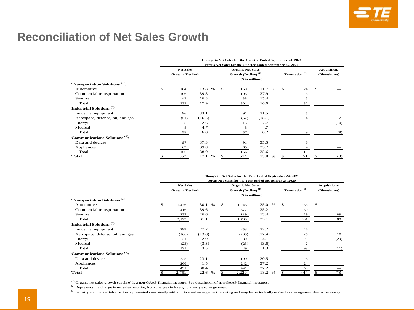## **Reconciliation of Net Sales Growth**

|                                                  | <b>Change in Net Sales for the Quarter Ended September 24, 2021</b> |                         |              |               |                                 |              |                            |                |    |              |  |
|--------------------------------------------------|---------------------------------------------------------------------|-------------------------|--------------|---------------|---------------------------------|--------------|----------------------------|----------------|----|--------------|--|
|                                                  | versus Net Sales for the Quarter Ended September 25, 2020           |                         |              |               |                                 |              |                            |                |    |              |  |
|                                                  |                                                                     | <b>Net Sales</b>        |              |               | <b>Organic Net Sales</b>        |              |                            |                |    | Acquisition/ |  |
|                                                  |                                                                     | <b>Growth (Decline)</b> |              |               | Growth (Decline) <sup>(1)</sup> |              | Translation <sup>(2)</sup> | (Divestitures) |    |              |  |
|                                                  |                                                                     |                         |              |               | (\$ in millions)                |              |                            |                |    |              |  |
| <b>Transportation Solutions</b> <sup>(3)</sup> : |                                                                     |                         |              |               |                                 |              |                            |                |    |              |  |
| Automotive                                       | \$                                                                  | 184                     | 13.8<br>$\%$ | <sup>\$</sup> | 160                             | 11.7<br>$\%$ | \$                         | 24             | \$ |              |  |
| Commercial transportation                        |                                                                     | 106                     | 39.8         |               | 103                             | 37.9         |                            | 3              |    |              |  |
| <b>Sensors</b>                                   |                                                                     | 43                      | 16.3         |               | 38                              | 15.4         |                            | 5              |    |              |  |
| Total                                            |                                                                     | 333                     | 17.9         |               | 301                             | 16.0         |                            | 32             |    |              |  |
| Industrial Solutions <sup>(3)</sup> :            |                                                                     |                         |              |               |                                 |              |                            |                |    |              |  |
| Industrial equipment                             |                                                                     | 96                      | 33.1         |               | 91                              | 31.5         |                            | 5              |    |              |  |
| Aerospace, defense, oil, and gas                 |                                                                     | (51)                    | (16.5)       |               | (57)                            | (18.1)       |                            | $\overline{4}$ |    | 2            |  |
| Energy                                           |                                                                     | 5                       | 2.6          |               | 15                              | 7.7          |                            |                |    | (10)         |  |
| Medical                                          |                                                                     | 8                       | 4.7          |               | 8                               | 4.7          |                            |                |    |              |  |
| Total                                            |                                                                     | 58                      | 6.0          |               | 57                              | 6.2          |                            | 9              |    | (8)          |  |
| Communications Solutions $(3)$ :                 |                                                                     |                         |              |               |                                 |              |                            |                |    |              |  |
| Data and devices                                 |                                                                     | 97                      | 37.3         |               | 91                              | 35.5         |                            | 6              |    |              |  |
| Appliances                                       |                                                                     | 69                      | 39.0         |               | 65                              | 35.7         |                            | $\overline{4}$ |    |              |  |
| Total                                            |                                                                     | 166                     | 38.0         |               | 156                             | 35.6         |                            | 10             |    |              |  |
| Total                                            |                                                                     | 557                     | 17.1<br>$\%$ |               | 514                             | 15.8<br>$\%$ |                            | 51             |    | (8)          |  |

|                                                  | Change in Net Sales for the Year Ended September 24, 2021 |                         |              |    |                                 |              |    |                            |    |                      |  |  |  |  |
|--------------------------------------------------|-----------------------------------------------------------|-------------------------|--------------|----|---------------------------------|--------------|----|----------------------------|----|----------------------|--|--|--|--|
|                                                  | versus Net Sales for the Year Ended September 25, 2020    |                         |              |    |                                 |              |    |                            |    |                      |  |  |  |  |
|                                                  |                                                           | <b>Net Sales</b>        |              |    | <b>Organic Net Sales</b>        |              |    |                            |    | <b>Acquisitions/</b> |  |  |  |  |
|                                                  |                                                           | <b>Growth (Decline)</b> |              |    | Growth (Decline) <sup>(1)</sup> |              |    | Translation <sup>(2)</sup> |    | (Divestitures)       |  |  |  |  |
|                                                  |                                                           |                         |              |    | (\$ in millions)                |              |    |                            |    |                      |  |  |  |  |
| <b>Transportation Solutions</b> <sup>(3)</sup> : |                                                           |                         |              |    |                                 |              |    |                            |    |                      |  |  |  |  |
| Automotive                                       | \$                                                        | 1,476                   | 30.1<br>$\%$ | \$ | 1,243                           | $\%$<br>25.0 | \$ | 233                        | \$ |                      |  |  |  |  |
| Commercial transportation                        |                                                           | 416                     | 39.6         |    | 377                             | 35.2         |    | 39                         |    |                      |  |  |  |  |
| <b>Sensors</b>                                   |                                                           | 237                     | 26.6         |    | 119                             | 13.4         |    | 29                         |    | 89                   |  |  |  |  |
| Total                                            |                                                           | 2,129                   | 31.1         |    | 1,739                           | 25.1         |    | 301                        |    | 89                   |  |  |  |  |
| Industrial Solutions <sup>(3)</sup> :            |                                                           |                         |              |    |                                 |              |    |                            |    |                      |  |  |  |  |
| Industrial equipment                             |                                                           | 299                     | 27.2         |    | 253                             | 22.7         |    | 46                         |    |                      |  |  |  |  |
| Aerospace, defense, oil, and gas                 |                                                           | (166)                   | (13.8)       |    | (209)                           | (17.4)       |    | 25                         |    | 18                   |  |  |  |  |
| Energy                                           |                                                           | 21                      | 2.9          |    | 30                              | 4.1          |    | 20                         |    | (29)                 |  |  |  |  |
| Medical                                          |                                                           | (23)                    | (3.3)        |    | (25)                            | (3.6)        |    | $\overline{\mathbf{c}}$    |    |                      |  |  |  |  |
| Total                                            |                                                           | 131                     | 3.5          |    | 49                              | 1.3          |    | 93                         |    | (11)                 |  |  |  |  |
| Communications Solutions $(3)$ :                 |                                                           |                         |              |    |                                 |              |    |                            |    |                      |  |  |  |  |
| Data and devices                                 |                                                           | 225                     | 23.1         |    | 199                             | 20.5         |    | 26                         |    |                      |  |  |  |  |
| Appliances                                       |                                                           | 266                     | 41.5         |    | 242                             | 37.2         |    | 24                         |    |                      |  |  |  |  |
| Total                                            |                                                           | 491                     | 30.4         |    | 441                             | 27.2         |    | 50                         |    |                      |  |  |  |  |
| Total                                            |                                                           | 2,751                   | 22.6<br>$\%$ | \$ | 2,229                           | 18.2<br>$\%$ |    | 444                        | \$ | 78                   |  |  |  |  |

(1) Organic net sales growth (decline) is a non-GAAP financial measure. See description of non-GAAP financial measures.

<sup>(2)</sup> Represents the change in net sales resulting from changes in foreign currency exchange rates.

<sup>(3)</sup> Industry end market information is presented consistently with our internal management reporting and may be periodically revised as management deems necessary.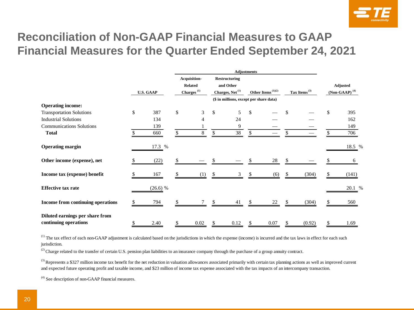

## **Reconciliation of Non-GAAP Financial Measures to GAAP Financial Measures for the Quarter Ended September 24, 2021**

|                                   |              |                  | Acquisition-                            |                                     |    | Restructuring               |    |                                            |  |                          |     |                             |
|-----------------------------------|--------------|------------------|-----------------------------------------|-------------------------------------|----|-----------------------------|----|--------------------------------------------|--|--------------------------|-----|-----------------------------|
|                                   |              |                  |                                         | <b>Related</b>                      |    | and Other                   |    |                                            |  |                          |     | Adjusted                    |
|                                   |              | <b>U.S. GAAP</b> |                                         | $\overline{\textbf{Charges}}^{(1)}$ |    | Charges, Net <sup>(1)</sup> |    | Other Items <sup><math>(1)(2)</math></sup> |  | Tax Items <sup>(3)</sup> |     | $(Non-GAAP)$ <sup>(4)</sup> |
|                                   |              |                  | (\$ in millions, except per share data) |                                     |    |                             |    |                                            |  |                          |     |                             |
| <b>Operating income:</b>          |              |                  |                                         |                                     |    |                             |    |                                            |  |                          |     |                             |
| <b>Transportation Solutions</b>   | $\mathbb{S}$ | 387              | \$                                      | 3                                   | \$ | 5                           | \$ |                                            |  |                          | \$. | 395                         |
| <b>Industrial Solutions</b>       |              | 134              |                                         |                                     |    | 24                          |    |                                            |  |                          |     | 162                         |
| <b>Communications Solutions</b>   |              | 139              |                                         |                                     |    | 9                           |    |                                            |  |                          |     | 149                         |
| <b>Total</b>                      |              | 660              | \$                                      | 8                                   | \$ | 38                          | -S |                                            |  |                          |     | 706                         |
| <b>Operating margin</b>           |              | 17.3 %           |                                         |                                     |    |                             |    |                                            |  |                          |     | 18.5 %                      |
| Other income (expense), net       |              | (22)             |                                         |                                     |    |                             |    | 28                                         |  |                          |     | 6                           |
| Income tax (expense) benefit      |              | 167              |                                         |                                     |    |                             |    | (6)                                        |  | (304)                    |     | (141)                       |
| <b>Effective tax rate</b>         |              | $(26.6)$ %       |                                         |                                     |    |                             |    |                                            |  |                          |     | 20.1 %                      |
| Income from continuing operations |              | 794              |                                         |                                     |    | 41                          |    | 22                                         |  | (304)                    |     | 560                         |
| Diluted earnings per share from   |              |                  |                                         |                                     |    |                             |    |                                            |  |                          |     |                             |
| continuing operations             |              | 2.40             |                                         | $0.02\,$                            | \$ | 0.12                        |    | 0.07                                       |  | (0.92)                   |     | 1.69                        |

 $<sup>(1)</sup>$  The tax effect of each non-GAAP adjustment is calculated based on the jurisdictions in which the expense (income) is incurred and the tax laws in effect for each such</sup> jurisdiction.

 $^{(2)}$  Charge related to the transfer of certain U.S. pension plan liabilities to an insurance company through the purchase of a group annuity contract.

<sup>(3)</sup> Represents a \$327 million income tax benefit for the net reduction in valuation allowances associated primarily with certain tax planning actions as well as improved current and expected future operating profit and taxable income, and \$23 million of income tax expense associated with the tax impacts of an intercompany transaction.

(4) See description of non-GAAP financial measures.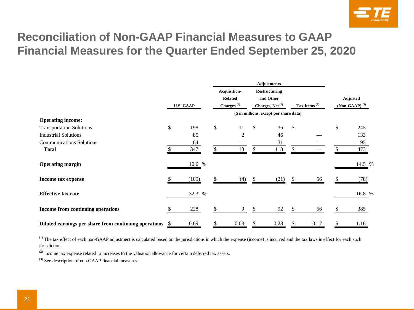

## **Reconciliation of Non-GAAP Financial Measures to GAAP Financial Measures for the Quarter Ended September 25, 2020**

|                                                       |                  |                          | Acquisition-   |              | <b>Restructuring</b>                    |    |                          |                    |
|-------------------------------------------------------|------------------|--------------------------|----------------|--------------|-----------------------------------------|----|--------------------------|--------------------|
|                                                       |                  |                          | <b>Related</b> |              | and Other                               |    |                          | Adjusted           |
|                                                       | <b>U.S. GAAP</b> | $\mathbf{Charges}^{(1)}$ |                |              | Charges, Net <sup>(1)</sup>             |    | Tax Items <sup>(2)</sup> | $(Non-GAAP)^{(3)}$ |
|                                                       |                  |                          |                |              | (\$ in millions, except per share data) |    |                          |                    |
| <b>Operating income:</b>                              |                  |                          |                |              |                                         |    |                          |                    |
| <b>Transportation Solutions</b>                       | \$<br>198        | \$                       | 11             | $\mathbb{S}$ | 36                                      | \$ |                          | \$<br>245          |
| <b>Industrial Solutions</b>                           | 85               |                          | 2              |              | 46                                      |    |                          | 133                |
| <b>Communications Solutions</b>                       | 64               |                          |                |              | 31                                      |    |                          | 95                 |
| <b>Total</b>                                          | 347              |                          | 13             | \$           | 113                                     | \$ |                          | 473                |
| <b>Operating margin</b>                               | 10.6 %           |                          |                |              |                                         |    |                          | 14.5 %             |
| <b>Income tax expense</b>                             | (109)            |                          | (4)            |              | (21)                                    |    | 56                       | (78)               |
| <b>Effective tax rate</b>                             | 32.3 %           |                          |                |              |                                         |    |                          | 16.8 %             |
| Income from continuing operations                     | 228              |                          | 9              |              | 92                                      |    | 56                       | 385                |
| Diluted earnings per share from continuing operations | 0.69             |                          | 0.03           |              | 0.28                                    |    | 0.17                     | 1.16               |

 $<sup>(1)</sup>$  The tax effect of each non-GAAP adjustment is calculated based on the jurisdictions in which the expense (income) is incurred and the tax laws in effect for each such</sup> jurisdiction.

(2) Income tax expense related to increases to the valuation allowance for certain deferred tax assets.

(3) See description of non-GAAP financial measures.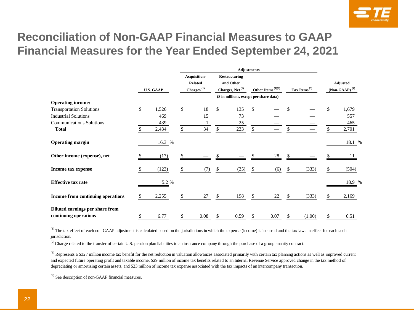

## **Reconciliation of Non-GAAP Financial Measures to GAAP Financial Measures for the Year Ended September 24, 2021**

|                                                          |                  |    | Acquisition-                            |                    | <b>Restructuring</b>        |               |                      |   |                          |     |                    |
|----------------------------------------------------------|------------------|----|-----------------------------------------|--------------------|-----------------------------|---------------|----------------------|---|--------------------------|-----|--------------------|
|                                                          |                  |    | <b>Related</b>                          |                    | and Other                   |               |                      |   |                          |     | Adjusted           |
|                                                          | <b>U.S. GAAP</b> |    | $Charges$ <sup>(1)</sup>                |                    | Charges, Net <sup>(1)</sup> |               | Other Items $(1)(2)$ |   | Tax Items <sup>(3)</sup> |     | $(Non-GAAP)^{(4)}$ |
|                                                          |                  |    | (\$ in millions, except per share data) |                    |                             |               |                      |   |                          |     |                    |
| <b>Operating income:</b>                                 |                  |    |                                         |                    |                             |               |                      |   |                          |     |                    |
| <b>Transportation Solutions</b>                          | \$<br>1,526      | \$ | 18                                      | $\mathbf{\hat{S}}$ | 135                         | \$            |                      |   |                          | \$. | 1,679              |
| <b>Industrial Solutions</b>                              | 469              |    | 15                                      |                    | 73                          |               |                      |   |                          |     | 557                |
| <b>Communications Solutions</b>                          | 439              |    |                                         |                    | 25                          |               |                      |   |                          |     | 465                |
| <b>Total</b>                                             | 2,434            | \$ | 34                                      | \$                 | 233                         | \$            |                      |   |                          |     | 2,701              |
| <b>Operating margin</b>                                  | 16.3 %           |    |                                         |                    |                             |               |                      |   |                          |     | 18.1 %             |
| Other income (expense), net                              | (17)             |    |                                         |                    |                             |               | 28                   |   |                          |     | 11                 |
| Income tax expense                                       | (123)            | S  | (7)                                     | \$.                | (35)                        |               | (6)                  |   | (333)                    |     | (504)              |
| <b>Effective tax rate</b>                                | 5.2 %            |    |                                         |                    |                             |               |                      |   |                          |     | 18.9 %             |
| Income from continuing operations                        | 2,255            |    | 27                                      | \$.                | 198                         |               | 22                   |   | (333)                    |     | 2,169              |
| Diluted earnings per share from<br>continuing operations | \$<br>6.77       | \$ | 0.08                                    | \$                 | 0.59                        | <sup>\$</sup> | 0.07                 | S | (1.00)                   | S   | 6.51               |

<sup>(1)</sup> The tax effect of each non-GAAP adjustment is calculated based on the jurisdictions in which the expense (income) is incurred and the tax laws in effect for each such jurisdiction.

(2) Charge related to the transfer of certain U.S. pension plan liabilities to an insurance company through the purchase of a group annuity contract.

 $^{(3)}$  Represents a \$327 million income tax benefit for the net reduction in valuation allowances associated primarily with certain tax planning actions as well as improved current and expected future operating profit and taxable income, \$29 million of income tax benefits related to an Internal Revenue Service approved change in the tax method of depreciating or amortizing certain assets, and \$23 million of income tax expense associated with the tax impacts of an intercompany transaction.

(4) See description of non-GAAP financial measures.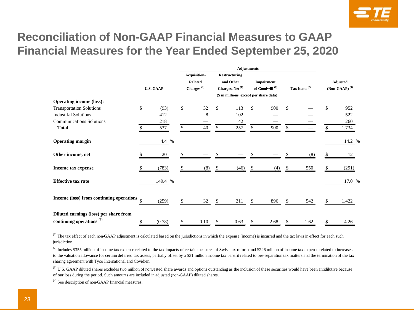

## **Reconciliation of Non-GAAP Financial Measures to GAAP Financial Measures for the Year Ended September 25, 2020**

|                                          |                  |                             | Acquisition-   |                                         | Restructuring               |    |                            |              |                    |    |                     |
|------------------------------------------|------------------|-----------------------------|----------------|-----------------------------------------|-----------------------------|----|----------------------------|--------------|--------------------|----|---------------------|
|                                          |                  |                             | <b>Related</b> |                                         | and Other                   |    | <b>Impairment</b>          |              |                    |    | Adjusted            |
|                                          | <b>U.S. GAAP</b> | Charges $^{\left(1\right)}$ |                |                                         | Charges, Net <sup>(1)</sup> |    | of Goodwill <sup>(1)</sup> |              | Tax Items $^{(2)}$ |    | (Non-GAAP) $^{(4)}$ |
|                                          |                  |                             |                | (\$ in millions, except per share data) |                             |    |                            |              |                    |    |                     |
| <b>Operating income (loss):</b>          |                  |                             |                |                                         |                             |    |                            |              |                    |    |                     |
| <b>Transportation Solutions</b>          | \$<br>(93)       | \$                          | 32             | \$                                      | 113                         | \$ | 900                        | $\mathbb{S}$ |                    | \$ | 952                 |
| <b>Industrial Solutions</b>              | 412              |                             | 8              |                                         | 102                         |    |                            |              |                    |    | 522                 |
| <b>Communications Solutions</b>          | 218              |                             |                |                                         | 42                          |    |                            |              |                    |    | 260                 |
| <b>Total</b>                             | 537              | \$                          | 40             | \$                                      | 257                         | \$ | 900                        | \$           |                    |    | 1,734               |
| <b>Operating margin</b>                  | 4.4 %            |                             |                |                                         |                             |    |                            |              |                    |    | 14.2 %              |
| Other income, net                        | 20               |                             |                |                                         |                             |    |                            |              | (8)                |    | 12                  |
| Income tax expense                       | (783)            |                             | (8)            | \$                                      | (46)                        |    | (4)                        | \$.          | 550                |    | (291)               |
| <b>Effective tax rate</b>                | 149.4 %          |                             |                |                                         |                             |    |                            |              |                    |    | 17.0 %              |
| Income (loss) from continuing operations | \$<br>(259)      |                             | 32             | \$                                      | 211                         | \$ | 896                        | S            | 542                |    | 1,422               |
| Diluted earnings (loss) per share from   |                  |                             |                |                                         |                             |    |                            |              |                    |    |                     |
| continuing operations <sup>(3)</sup>     | \$<br>(0.78)     | \$                          | 0.10           | S                                       | 0.63                        | S. | 2.68                       | \$           | 1.62               | S  | 4.26                |

<sup>(1)</sup> The tax effect of each non-GAAP adjustment is calculated based on the jurisdictions in which the expense (income) is incurred and the tax laws in effect for each such jurisdiction.

 $^{(2)}$  Includes \$355 million of income tax expense related to the tax impacts of certain measures of Swiss tax reform and \$226 million of income tax expense related to increases to the valuation allowance for certain deferred tax assets, partially offset by a \$31 million income tax benefit related to pre-separation tax matters and the termination of the tax sharing agreement with Tyco International and Covidien.

<sup>(3)</sup> U.S. GAAP diluted shares excludes two million of nonvested share awards and options outstanding as the inclusion of these securities would have been antidilutive because of our loss during the period. Such amounts are included in adjusted (non-GAAP) diluted shares.

(4) See description of non-GAAP financial measures.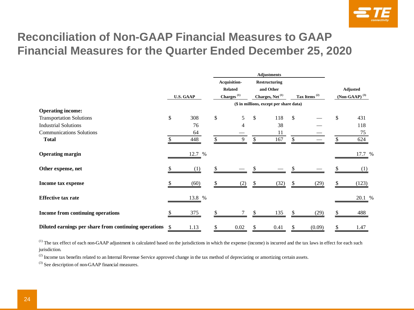

## **Reconciliation of Non-GAAP Financial Measures to GAAP Financial Measures for the Quarter Ended December 25, 2020**

|                                                       |    |                  |    | Acquisition-                                                       |              | Restructuring                           |              |                          |    |                    |
|-------------------------------------------------------|----|------------------|----|--------------------------------------------------------------------|--------------|-----------------------------------------|--------------|--------------------------|----|--------------------|
|                                                       |    | <b>U.S. GAAP</b> |    | <b>Related</b>                                                     |              | and Other                               |              |                          |    | Adjusted           |
|                                                       |    |                  |    | Charges <sup><math>(1)</math></sup><br>Charges, Net <sup>(1)</sup> |              |                                         |              | Tax Items <sup>(2)</sup> |    | $(Non-GAAP)^{(3)}$ |
|                                                       |    |                  |    |                                                                    |              | (\$ in millions, except per share data) |              |                          |    |                    |
| <b>Operating income:</b>                              |    |                  |    |                                                                    |              |                                         |              |                          |    |                    |
| <b>Transportation Solutions</b>                       | \$ | 308              | \$ | 5                                                                  | $\mathbb{S}$ | 118                                     | $\mathbb{S}$ |                          | \$ | 431                |
| <b>Industrial Solutions</b>                           |    | 76               |    | 4                                                                  |              | 38                                      |              |                          |    | 118                |
| <b>Communications Solutions</b>                       |    | 64               |    |                                                                    |              | 11                                      |              |                          |    | 75                 |
| <b>Total</b>                                          |    | 448              |    | 9                                                                  | \$           | 167                                     |              |                          |    | 624                |
| <b>Operating margin</b>                               |    | 12.7 %           |    |                                                                    |              |                                         |              |                          |    | 17.7 %             |
| Other expense, net                                    |    | (1)              |    |                                                                    |              |                                         |              |                          |    |                    |
| Income tax expense                                    |    | (60)             |    | (2)                                                                | S            | (32)                                    |              | (29)                     | S. | (123)              |
| <b>Effective tax rate</b>                             |    | 13.8 %           |    |                                                                    |              |                                         |              |                          |    | 20.1 %             |
| Income from continuing operations                     |    | 375              |    |                                                                    |              | 135                                     |              | (29)                     |    | 488                |
| Diluted earnings per share from continuing operations | .S | 1.13             |    | 0.02                                                               |              | 0.41                                    |              | (0.09)                   |    | 1.47               |

<sup>(1)</sup> The tax effect of each non-GAAP adjustment is calculated based on the jurisdictions in which the expense (income) is incurred and the tax laws in effect for each such jurisdiction.

 $^{(2)}$  Income tax benefits related to an Internal Revenue Service approved change in the tax method of depreciating or amortizing certain assets.

(3) See description of non-GAAP financial measures.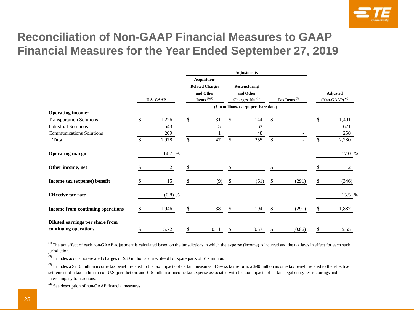

## **Reconciliation of Non-GAAP Financial Measures to GAAP Financial Measures for the Year Ended September 27, 2019**

|                                   |    |                  |                        |                        |              | <b>Adjustments</b>                      |     |                    |                             |
|-----------------------------------|----|------------------|------------------------|------------------------|--------------|-----------------------------------------|-----|--------------------|-----------------------------|
|                                   |    |                  |                        | Acquisition-           |              |                                         |     |                    |                             |
|                                   |    |                  |                        | <b>Related Charges</b> |              | Restructuring                           |     |                    |                             |
|                                   |    |                  | and Other<br>and Other |                        |              |                                         |     |                    | Adjusted                    |
|                                   |    | <b>U.S. GAAP</b> |                        | Items $^{(1)(2)}$      |              | Charges, Net <sup>(1)</sup>             |     | Tax Items $^{(3)}$ | $(Non-GAAP)$ <sup>(4)</sup> |
|                                   |    |                  |                        |                        |              |                                         |     |                    |                             |
|                                   |    |                  |                        |                        |              | (\$ in millions, except per share data) |     |                    |                             |
| <b>Operating income:</b>          |    |                  |                        |                        |              |                                         |     |                    |                             |
| <b>Transportation Solutions</b>   | \$ | 1,226            | \$                     | 31                     | $\mathbb{S}$ | 144                                     | \$  |                    | \$<br>1,401                 |
| <b>Industrial Solutions</b>       |    | 543              |                        | 15                     |              | 63                                      |     |                    | 621                         |
| <b>Communications Solutions</b>   |    | 209              |                        |                        |              | 48                                      |     |                    | 258                         |
| <b>Total</b>                      | \$ | 1,978            | \$                     | 47                     | \$           | 255                                     | \$  |                    | \$<br>2,280                 |
|                                   |    |                  |                        |                        |              |                                         |     |                    |                             |
|                                   |    |                  |                        |                        |              |                                         |     |                    |                             |
| <b>Operating margin</b>           |    | 14.7 %           |                        |                        |              |                                         |     |                    | 17.0 %                      |
| Other income, net                 | S  |                  | \$                     |                        |              |                                         |     |                    |                             |
|                                   |    |                  |                        |                        |              |                                         |     |                    |                             |
| Income tax (expense) benefit      |    | 15               |                        |                        |              | (61)                                    |     | (291)              | (346)                       |
|                                   |    |                  |                        |                        |              |                                         |     |                    |                             |
| <b>Effective tax rate</b>         |    | $(0.8)$ %        |                        |                        |              |                                         |     |                    | 15.5 %                      |
|                                   |    |                  |                        |                        |              |                                         |     |                    |                             |
| Income from continuing operations |    | 1,946            |                        | 38                     |              | 194                                     | \$. | (291)              | 1,887                       |
|                                   |    |                  |                        |                        |              |                                         |     |                    |                             |
| Diluted earnings per share from   |    |                  |                        |                        |              |                                         |     |                    |                             |
|                                   |    |                  |                        |                        |              |                                         |     |                    |                             |
| continuing operations             | \$ | 5.72             | \$                     | 0.11                   | \$           | 0.57                                    | \$  | (0.86)             | \$<br>5.55                  |

 $<sup>(1)</sup>$  The tax effect of each non-GAAP adjustment is calculated based on the jurisdictions in which the expense (income) is incurred and the tax laws in effect for each such</sup> jurisdiction.

(2) Includes acquisition-related charges of \$30 million and a write-off of spare parts of \$17 million.

 $^{(3)}$  Includes a \$216 million income tax benefit related to the tax impacts of certain measures of Swiss tax reform, a \$90 million income tax benefit related to the effective settlement of a tax audit in a non-U.S. jurisdiction, and \$15 million of income tax expense associated with the tax impacts of certain legal entity restructurings and intercompany transactions.

 $^{(4)}$  See description of non-GAAP financial measures.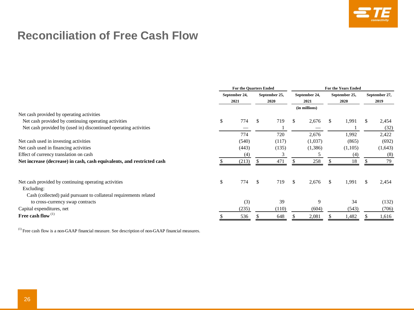

## **Reconciliation of Free Cash Flow**

|                                                                        | <b>For the Quarters Ended</b> |       |    |               |     | <b>For the Years Ended</b> |               |         |  |               |  |  |
|------------------------------------------------------------------------|-------------------------------|-------|----|---------------|-----|----------------------------|---------------|---------|--|---------------|--|--|
|                                                                        | September 24,                 |       |    | September 25, |     | September 24,              | September 25, |         |  | September 27, |  |  |
|                                                                        | 2021                          |       |    | 2020          |     | 2021                       |               | 2020    |  | 2019          |  |  |
|                                                                        |                               |       |    |               |     | (in millions)              |               |         |  |               |  |  |
| Net cash provided by operating activities                              |                               |       |    |               |     |                            |               |         |  |               |  |  |
| Net cash provided by continuing operating activities                   | \$                            | 774   | \$ | 719           | \$. | 2,676                      | \$.           | 1,991   |  | 2,454         |  |  |
| Net cash provided by (used in) discontinued operating activities       |                               |       |    |               |     |                            |               |         |  | (32)          |  |  |
|                                                                        |                               | 774   |    | 720           |     | 2,676                      |               | 1,992   |  | 2,422         |  |  |
| Net cash used in investing activities                                  |                               | (540) |    | (117)         |     | (1,037)                    |               | (865)   |  | (692)         |  |  |
| Net cash used in financing activities                                  |                               | (443) |    | (135)         |     | (1,386)                    |               | (1,105) |  | (1,643)       |  |  |
| Effect of currency translation on cash                                 |                               | (4)   |    |               |     |                            |               | (4)     |  | (8)           |  |  |
| Net increase (decrease) in cash, cash equivalents, and restricted cash |                               | (213) |    | 471           |     | 258                        |               | 18      |  | 79            |  |  |
| Net cash provided by continuing operating activities                   | \$                            | 774   | \$ | 719           | \$  | 2,676                      | \$            | 1,991   |  | 2,454         |  |  |
| Excluding:                                                             |                               |       |    |               |     |                            |               |         |  |               |  |  |
| Cash (collected) paid pursuant to collateral requirements related      |                               |       |    |               |     |                            |               |         |  |               |  |  |
| to cross-currency swap contracts                                       |                               | (3)   |    | 39            |     | 9                          |               | 34      |  | (132)         |  |  |
| Capital expenditures, net                                              |                               | (235) |    | (110)         |     | (604)                      |               | (543)   |  | (706)         |  |  |
| Free cash flow $^{(1)}$                                                |                               | 536   |    | 648           |     | 2,081                      |               | 1,482   |  | 1,616         |  |  |

 $<sup>(1)</sup>$  Free cash flow is a non-GAAP financial measure. See description of non-GAAP financial measures.</sup>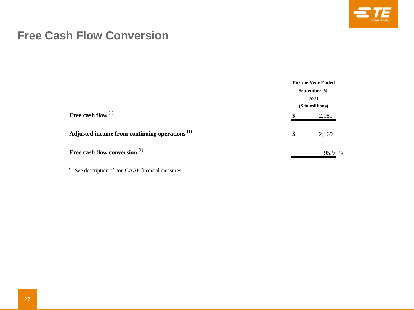

## **Free Cash Flow Conversion**

|                                                           |               | <b>For the Year Ended</b> |  |  |  |  |  |  |
|-----------------------------------------------------------|---------------|---------------------------|--|--|--|--|--|--|
|                                                           | September 24, |                           |  |  |  |  |  |  |
|                                                           | 2021          |                           |  |  |  |  |  |  |
|                                                           |               | $($in\text{ millions})$   |  |  |  |  |  |  |
| Free cash flow $(1)$                                      |               | 2,081                     |  |  |  |  |  |  |
| Adjusted income from continuing operations <sup>(1)</sup> |               | 2,169                     |  |  |  |  |  |  |
| Free cash flow conversion <sup>(1)</sup>                  |               | 95.9<br>$\%$              |  |  |  |  |  |  |

 $^{(1)}$  See description of non-GAAP financial measures.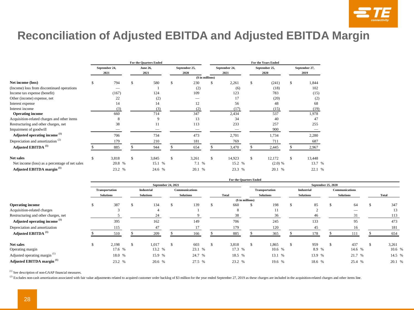

## **Reconciliation of Adjusted EBITDA and Adjusted EBITDA Margin**

|                                                |      |               | For the Quarters Ended |     |               | For the Years Ended |               |    |               |      |               |  |  |  |
|------------------------------------------------|------|---------------|------------------------|-----|---------------|---------------------|---------------|----|---------------|------|---------------|--|--|--|
|                                                |      | September 24, | <b>June 26,</b>        |     | September 25, |                     | September 24, |    | September 25, |      | September 27, |  |  |  |
|                                                | 2021 |               | 2021                   |     | 2020          |                     | 2021          |    | 2020          | 2019 |               |  |  |  |
|                                                |      |               |                        |     |               | (\$ in millions)    |               |    |               |      |               |  |  |  |
| Net income (loss)                              |      | 794           | \$<br>580              | \$. | 230           | \$                  | 2,261         | \$ | (241)         | \$   | 1,844         |  |  |  |
| (Income) loss from discontinued operations     |      |               |                        |     | (2)           |                     | (6)           |    | (18)          |      | 102           |  |  |  |
| Income tax expense (benefit)                   |      | (167)         | 124                    |     | 109           |                     | 123           |    | 783           |      | (15)          |  |  |  |
| Other (income) expense, net                    |      | 22            | (2)                    |     |               |                     | 17            |    | (20)          |      | (2)           |  |  |  |
| Interest expense                               |      | 14            | 14                     |     | 12            |                     | 56            |    | 48            |      | 68            |  |  |  |
| Interest income                                |      | (3)           | (3)                    |     | (2)           |                     | (17)          |    | (15)          |      | (19)          |  |  |  |
| <b>Operating income</b>                        |      | 660           | 714                    |     | 347           |                     | 2,434         |    | 537           |      | 1,978         |  |  |  |
| Acquisition-related charges and other items    |      | 8             | 9                      |     | 13            |                     | 34            |    | 40            |      | 47            |  |  |  |
| Restructuring and other charges, net           |      | 38            | 11                     |     | 113           |                     | 233           |    | 257           |      | 255           |  |  |  |
| Impairment of goodwill                         |      |               |                        |     |               |                     |               |    | 900           |      |               |  |  |  |
| Adjusted operating income <sup>(1)</sup>       |      | 706           | 734                    |     | 473           |                     | 2,701         |    | 1,734         |      | 2,280         |  |  |  |
| Depreciation and amortization <sup>(2)</sup>   |      | 179           | 210                    |     | 181           |                     | 769           |    | 711           |      | 687           |  |  |  |
| Adjusted EBITDA <sup>(1)</sup>                 |      | 885           | 944                    |     | 654           |                     | 3,470         |    | 2,445         |      | 2,967         |  |  |  |
| <b>Net sales</b>                               | \$   | 3,818         | \$<br>3,845            | \$. | 3,261         | $\mathbf{s}$        | 14,923        | \$ | 12,172        | S.   | 13,448        |  |  |  |
| Net income (loss) as a percentage of net sales |      | 20.8 %        | 15.1 %                 |     | 7.1 %         |                     | 15.2 %        |    | (2.0) %       |      | 13.7 %        |  |  |  |
| Adjusted EBITDA margin <sup>(1)</sup>          |      | 23.2 %        | 24.6 %                 |     | 20.1 %        |                     | 23.3 %        |    | 20.1 %        |      | 22.1 %        |  |  |  |

|                                          |     |                       |    |                   |  |                       |    | For the Quarters Ended |  |                  |                    |                   |  |                       |  |              |  |  |  |  |
|------------------------------------------|-----|-----------------------|----|-------------------|--|-----------------------|----|------------------------|--|------------------|--------------------|-------------------|--|-----------------------|--|--------------|--|--|--|--|
|                                          |     | September 24, 2021    |    |                   |  |                       |    |                        |  |                  | September 25, 2020 |                   |  |                       |  |              |  |  |  |  |
|                                          |     | <b>Transportation</b> |    | <b>Industrial</b> |  | <b>Communications</b> |    |                        |  | Transportation   |                    | <b>Industrial</b> |  | <b>Communications</b> |  |              |  |  |  |  |
|                                          |     | <b>Solutions</b>      |    | <b>Solutions</b>  |  | <b>Solutions</b>      |    | <b>Total</b>           |  | <b>Solutions</b> |                    | <b>Solutions</b>  |  | <b>Solutions</b>      |  | <b>Total</b> |  |  |  |  |
|                                          |     |                       |    |                   |  |                       |    | (\$ in millions)       |  |                  |                    |                   |  |                       |  |              |  |  |  |  |
| <b>Operating income</b>                  | \$. | 387                   | -S | 134               |  | 139                   | -S | 660                    |  | 198              | \$                 | 85                |  | 64                    |  | 347          |  |  |  |  |
| Acquisition-related charges              |     | $\sim$                |    |                   |  |                       |    | 8                      |  | 11               |                    |                   |  |                       |  | 13           |  |  |  |  |
| Restructuring and other charges, net     |     |                       |    | 24                |  |                       |    | 38                     |  | 36               |                    | 46                |  | 31                    |  | 113          |  |  |  |  |
| Adjusted operating income (1)            |     | 395                   |    | 162               |  | 149                   |    | 706                    |  | 245              |                    | 133               |  | 95                    |  | 473          |  |  |  |  |
| Depreciation and amortization            |     | 115                   |    | 47                |  |                       |    | 179                    |  | 120              |                    | 45                |  | 16                    |  | 181          |  |  |  |  |
| Adjusted EBITDA <sup>(1)</sup>           |     | 510                   |    | 209               |  | 166                   |    | 885                    |  | 365              |                    | 178               |  | 111                   |  | 654          |  |  |  |  |
| <b>Net sales</b>                         |     | 2,198                 |    | 1.017             |  | 603                   |    | 3,818                  |  | 1,865            |                    | 959               |  | 437                   |  | 3,261        |  |  |  |  |
| Operating margin                         |     | 17.6 %                |    | 13.2 %            |  | 23.1 %                |    | 17.3 %                 |  | 10.6 %           |                    | 8.9 %             |  | 14.6 %                |  | 10.6 %       |  |  |  |  |
| Adjusted operating margin <sup>(1)</sup> |     | 18.0 %                |    | 15.9 %            |  | 24.7 %                |    | 18.5 %                 |  | 13.1 %           |                    | 13.9 %            |  | 21.7 %                |  | 14.5 %       |  |  |  |  |
| Adjusted EBITDA margin <sup>(1)</sup>    |     | 23.2 %                |    | 20.6 %            |  | 27.5 %                |    | 23.2 %                 |  | 19.6 %           |                    | 18.6 %            |  | 25.4 %                |  | 20.1 %       |  |  |  |  |

**For the Quarters Ended**

 $^{(1)}$  See description of non-GAAP financial measures.

<sup>(2)</sup> Excludes non-cash amortization associated with fair value adjustments related to acquired customer order backlog of \$3 million for the year ended September 27, 2019 as these charges are included in the acquisition-re